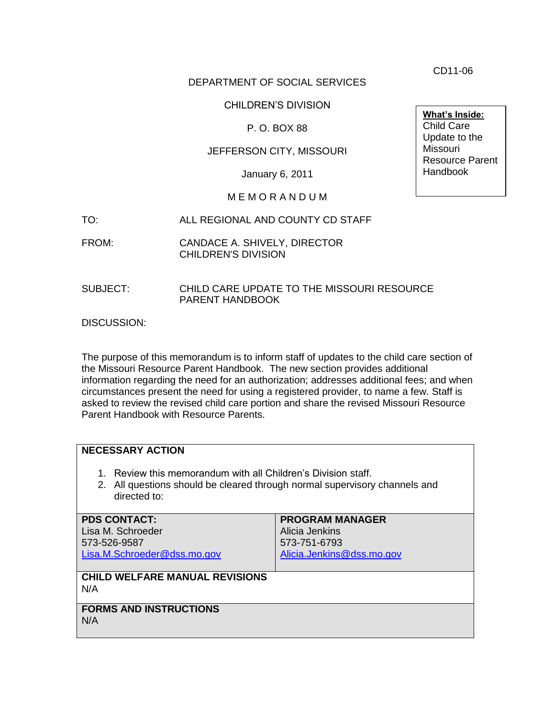DEPARTMENT OF SOCIAL SERVICES

CHILDREN'S DIVISION

P. O. BOX 88

### JEFFERSON CITY, MISSOURI

January 6, 2011

### M E M O R A N D U M

- TO: ALL REGIONAL AND COUNTY CD STAFF
- FROM: CANDACE A. SHIVELY, DIRECTOR CHILDREN'S DIVISION
- SUBJECT: CHILD CARE UPDATE TO THE MISSOURI RESOURCE PARENT HANDBOOK

DISCUSSION:

The purpose of this memorandum is to inform staff of updates to the child care section of the Missouri Resource Parent Handbook. The new section provides additional information regarding the need for an authorization; addresses additional fees; and when circumstances present the need for using a registered provider, to name a few. Staff is asked to review the revised child care portion and share the revised Missouri Resource Parent Handbook with Resource Parents.

### **NECESSARY ACTION**

- 1. Review this memorandum with all Children's Division staff.
- 2. All questions should be cleared through normal supervisory channels and directed to:

| <b>PDS CONTACT:</b>                          | <b>PROGRAM MANAGER</b>    |
|----------------------------------------------|---------------------------|
| Lisa M. Schroeder                            | Alicia Jenkins            |
| 573-526-9587                                 | 573-751-6793              |
| Lisa.M.Schroeder@dss.mo.gov                  | Alicia.Jenkins@dss.mo.gov |
|                                              |                           |
| <b>CHILD WELFARE MANUAL REVISIONS</b><br>N/A |                           |
|                                              |                           |
| <b>FORMS AND INSTRUCTIONS</b>                |                           |
| N/A                                          |                           |
|                                              |                           |

**What's Inside:** Child Care Update to the Missouri Resource Parent Handbook